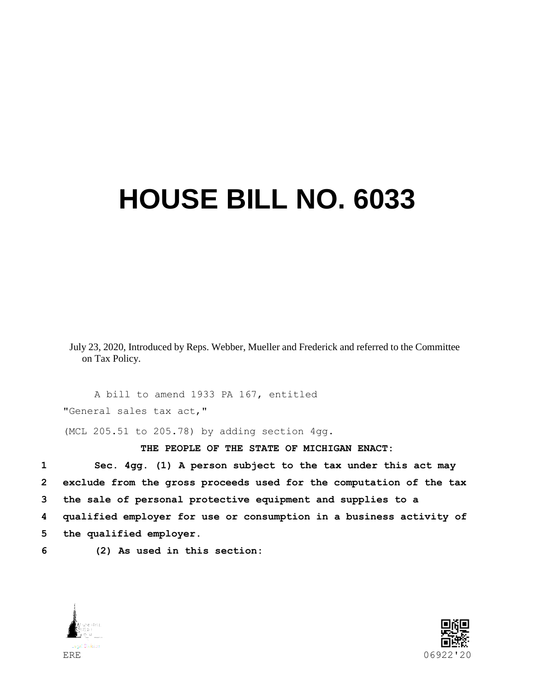## **HOUSE BILL NO. 6033**

July 23, 2020, Introduced by Reps. Webber, Mueller and Frederick and referred to the Committee on Tax Policy.

A bill to amend 1933 PA 167, entitled "General sales tax act,"

(MCL 205.51 to 205.78) by adding section 4gg.

**THE PEOPLE OF THE STATE OF MICHIGAN ENACT:**

 **Sec. 4gg. (1) A person subject to the tax under this act may exclude from the gross proceeds used for the computation of the tax the sale of personal protective equipment and supplies to a qualified employer for use or consumption in a business activity of the qualified employer.**

**6 (2) As used in this section:**



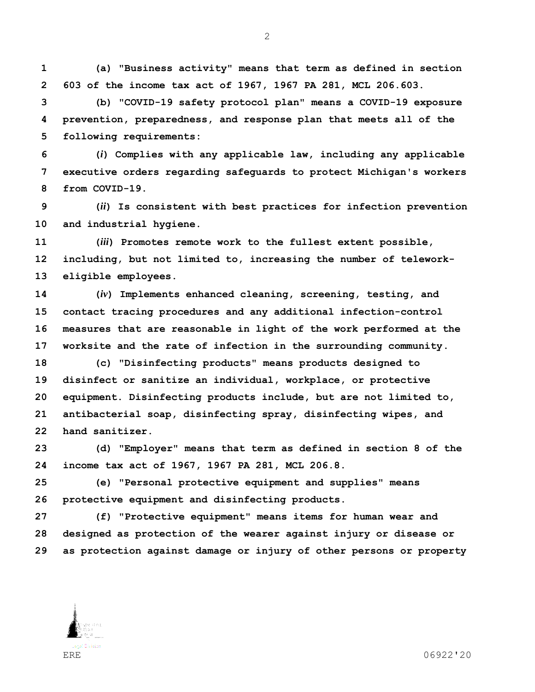**(a) "Business activity" means that term as defined in section 603 of the income tax act of 1967, 1967 PA 281, MCL 206.603.**

 **(b) "COVID-19 safety protocol plan" means a COVID-19 exposure prevention, preparedness, and response plan that meets all of the following requirements:**

 **(***i***) Complies with any applicable law, including any applicable executive orders regarding safeguards to protect Michigan's workers from COVID-19.**

 **(***ii***) Is consistent with best practices for infection prevention and industrial hygiene.**

 **(***iii***) Promotes remote work to the fullest extent possible, including, but not limited to, increasing the number of telework-eligible employees.**

 **(***iv***) Implements enhanced cleaning, screening, testing, and contact tracing procedures and any additional infection-control measures that are reasonable in light of the work performed at the worksite and the rate of infection in the surrounding community.**

 **(c) "Disinfecting products" means products designed to disinfect or sanitize an individual, workplace, or protective equipment. Disinfecting products include, but are not limited to, antibacterial soap, disinfecting spray, disinfecting wipes, and hand sanitizer.**

 **(d) "Employer" means that term as defined in section 8 of the income tax act of 1967, 1967 PA 281, MCL 206.8.**

 **(e) "Personal protective equipment and supplies" means protective equipment and disinfecting products.**

 **(f) "Protective equipment" means items for human wear and designed as protection of the wearer against injury or disease or as protection against damage or injury of other persons or property**